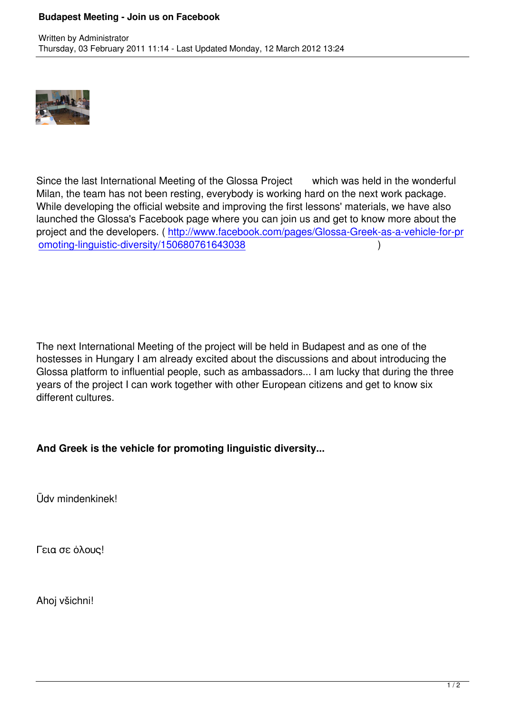

Since the last International Meeting of the Glossa Project which was held in the wonderful Milan, the team has not been resting, everybody is working hard on the next work package. While developing the official website and improving the first lessons' materials, we have also launched the Glossa's Facebook page where you can join us and get to know more about the project and the developers. ( http://www.facebook.com/pages/Glossa-Greek-as-a-vehicle-for-pr omoting-linguistic-diversity/150680761643038 )

The next International Meeting of the project will be held in Budapest and as one of the hostesses in Hungary I am already excited about the discussions and about introducing the Glossa platform to influential people, such as ambassadors... I am lucky that during the three years of the project I can work together with other European citizens and get to know six different cultures.

**And Greek is the vehicle for promoting linguistic diversity...** 

Üdv mindenkinek!

Γεια σε όλους!

Ahoj všichni!